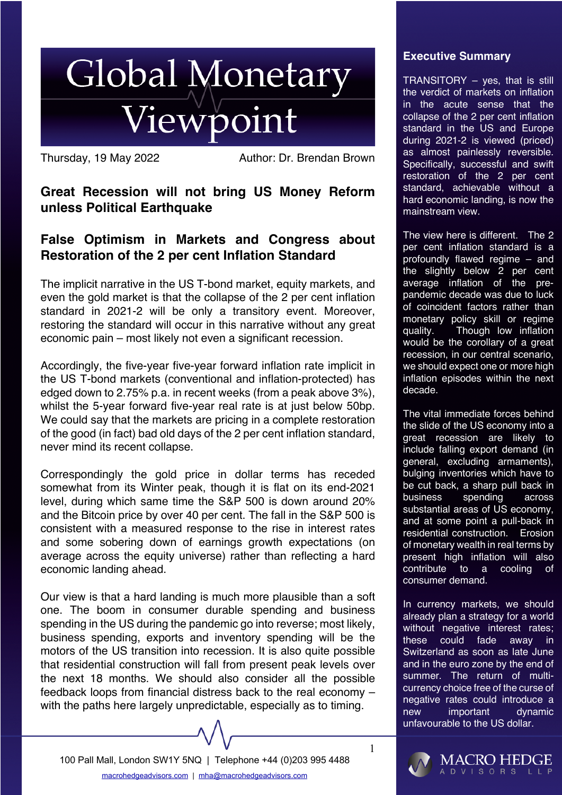## **Global Monetary** Viewpoin

Thursday, 19 May 2022 Author: Dr. Brendan Brown

## **Great Recession will not bring US Money Reform unless Political Earthquake**

## **False Optimism in Markets and Congress about Restoration of the 2 per cent Inflation Standard**

The implicit narrative in the US T-bond market, equity markets, and even the gold market is that the collapse of the 2 per cent inflation standard in 2021-2 will be only a transitory event. Moreover, restoring the standard will occur in this narrative without any great economic pain – most likely not even a significant recession.

Accordingly, the five-year five-year forward inflation rate implicit in the US T-bond markets (conventional and inflation-protected) has edged down to 2.75% p.a. in recent weeks (from a peak above 3%), whilst the 5-year forward five-year real rate is at just below 50bp. We could say that the markets are pricing in a complete restoration of the good (in fact) bad old days of the 2 per cent inflation standard, never mind its recent collapse.

Correspondingly the gold price in dollar terms has receded somewhat from its Winter peak, though it is flat on its end-2021 level, during which same time the S&P 500 is down around 20% and the Bitcoin price by over 40 per cent. The fall in the S&P 500 is consistent with a measured response to the rise in interest rates and some sobering down of earnings growth expectations (on average across the equity universe) rather than reflecting a hard economic landing ahead.

Our view is that a hard landing is much more plausible than a soft one. The boom in consumer durable spending and business spending in the US during the pandemic go into reverse; most likely, business spending, exports and inventory spending will be the motors of the US transition into recession. It is also quite possible that residential construction will fall from present peak levels over the next 18 months. We should also consider all the possible feedback loops from financial distress back to the real economy – with the paths here largely unpredictable, especially as to timing.

100 Pall Mall, London SW1Y 5NQ | Telephone +44 (0)203 995 4488

## **Executive Summary**

TRANSITORY – yes, that is still the verdict of markets on inflation in the acute sense that the collapse of the 2 per cent inflation standard in the US and Europe during 2021-2 is viewed (priced) as almost painlessly reversible. Specifically, successful and swift restoration of the 2 per cent standard, achievable without a hard economic landing, is now the mainstream view.

The view here is different. The 2 per cent inflation standard is a profoundly flawed regime – and the slightly below 2 per cent average inflation of the prepandemic decade was due to luck of coincident factors rather than monetary policy skill or regime quality. Though low inflation would be the corollary of a great recession, in our central scenario, we should expect one or more high inflation episodes within the next decade.

The vital immediate forces behind the slide of the US economy into a great recession are likely to include falling export demand (in general, excluding armaments), bulging inventories which have to be cut back, a sharp pull back in business spending across substantial areas of US economy, and at some point a pull-back in residential construction. Erosion of monetary wealth in real terms by present high inflation will also contribute to a cooling of consumer demand.

In currency markets, we should already plan a strategy for a world without negative interest rates; these could fade away in Switzerland as soon as late June and in the euro zone by the end of summer. The return of multicurrency choice free of the curse of negative rates could introduce a new important dynamic unfavourable to the US dollar.

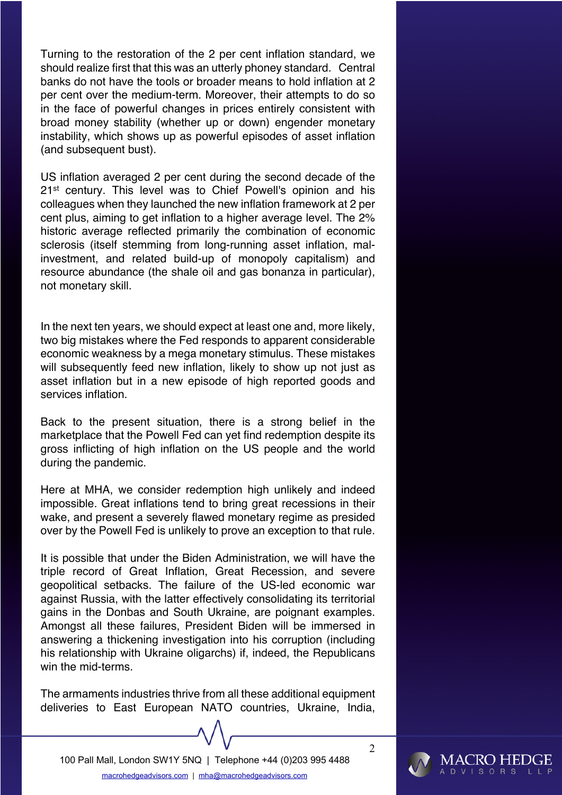Turning to the restoration of the 2 per cent inflation standard, we should realize first that this was an utterly phoney standard. Central banks do not have the tools or broader means to hold inflation at 2 per cent over the medium-term. Moreover, their attempts to do so in the face of powerful changes in prices entirely consistent with broad money stability (whether up or down) engender monetary instability, which shows up as powerful episodes of asset inflation (and subsequent bust).

US inflation averaged 2 per cent during the second decade of the 21<sup>st</sup> century. This level was to Chief Powell's opinion and his colleagues when they launched the new inflation framework at 2 per cent plus, aiming to get inflation to a higher average level. The 2% historic average reflected primarily the combination of economic sclerosis (itself stemming from long-running asset inflation, malinvestment, and related build-up of monopoly capitalism) and resource abundance (the shale oil and gas bonanza in particular), not monetary skill.

In the next ten years, we should expect at least one and, more likely, two big mistakes where the Fed responds to apparent considerable economic weakness by a mega monetary stimulus. These mistakes will subsequently feed new inflation, likely to show up not just as asset inflation but in a new episode of high reported goods and services inflation.

Back to the present situation, there is a strong belief in the marketplace that the Powell Fed can yet find redemption despite its gross inflicting of high inflation on the US people and the world during the pandemic.

Here at MHA, we consider redemption high unlikely and indeed impossible. Great inflations tend to bring great recessions in their wake, and present a severely flawed monetary regime as presided over by the Powell Fed is unlikely to prove an exception to that rule.

It is possible that under the Biden Administration, we will have the triple record of Great Inflation, Great Recession, and severe geopolitical setbacks. The failure of the US-led economic war against Russia, with the latter effectively consolidating its territorial gains in the Donbas and South Ukraine, are poignant examples. Amongst all these failures, President Biden will be immersed in answering a thickening investigation into his corruption (including his relationship with Ukraine oligarchs) if, indeed, the Republicans win the mid-terms.

The armaments industries thrive from all these additional equipment deliveries to East European NATO countries, Ukraine, India,

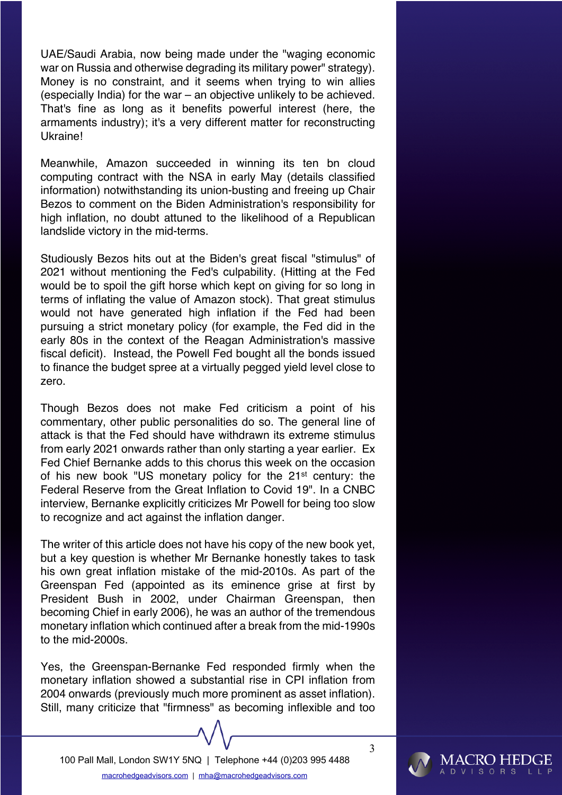UAE/Saudi Arabia, now being made under the "waging economic war on Russia and otherwise degrading its military power" strategy). Money is no constraint, and it seems when trying to win allies (especially India) for the war – an objective unlikely to be achieved. That's fine as long as it benefits powerful interest (here, the armaments industry); it's a very different matter for reconstructing Ukraine!

Meanwhile, Amazon succeeded in winning its ten bn cloud computing contract with the NSA in early May (details classified information) notwithstanding its union-busting and freeing up Chair Bezos to comment on the Biden Administration's responsibility for high inflation, no doubt attuned to the likelihood of a Republican landslide victory in the mid-terms.

Studiously Bezos hits out at the Biden's great fiscal "stimulus" of 2021 without mentioning the Fed's culpability. (Hitting at the Fed would be to spoil the gift horse which kept on giving for so long in terms of inflating the value of Amazon stock). That great stimulus would not have generated high inflation if the Fed had been pursuing a strict monetary policy (for example, the Fed did in the early 80s in the context of the Reagan Administration's massive fiscal deficit). Instead, the Powell Fed bought all the bonds issued to finance the budget spree at a virtually pegged yield level close to zero.

Though Bezos does not make Fed criticism a point of his commentary, other public personalities do so. The general line of attack is that the Fed should have withdrawn its extreme stimulus from early 2021 onwards rather than only starting a year earlier. Ex Fed Chief Bernanke adds to this chorus this week on the occasion of his new book "US monetary policy for the 21<sup>st</sup> century: the Federal Reserve from the Great Inflation to Covid 19". In a CNBC interview, Bernanke explicitly criticizes Mr Powell for being too slow to recognize and act against the inflation danger.

The writer of this article does not have his copy of the new book yet, but a key question is whether Mr Bernanke honestly takes to task his own great inflation mistake of the mid-2010s. As part of the Greenspan Fed (appointed as its eminence grise at first by President Bush in 2002, under Chairman Greenspan, then becoming Chief in early 2006), he was an author of the tremendous monetary inflation which continued after a break from the mid-1990s to the mid-2000s.

Yes, the Greenspan-Bernanke Fed responded firmly when the monetary inflation showed a substantial rise in CPI inflation from 2004 onwards (previously much more prominent as asset inflation). Still, many criticize that "firmness" as becoming inflexible and too

100 Pall Mall, London SW1Y 5NQ | Telephone +44 (0)203 995 4488

macrohedgeadvisors.com | mha@macrohedgeadvisors.com

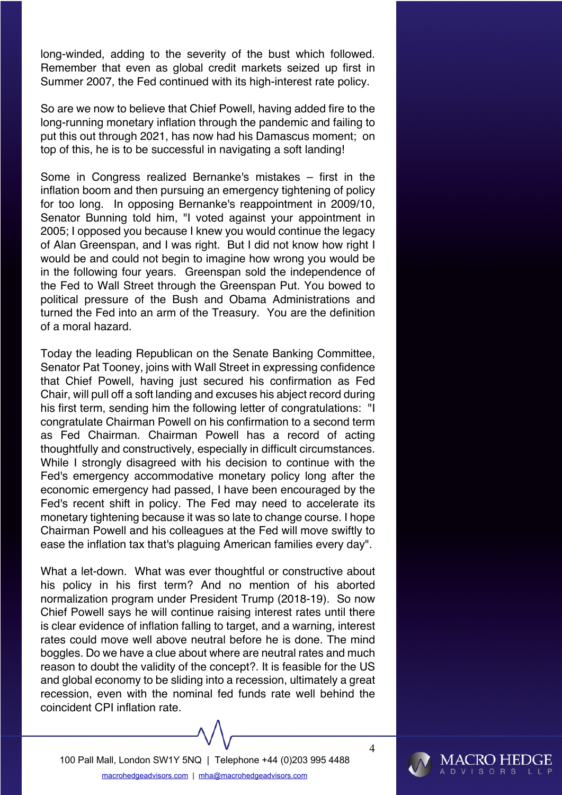long-winded, adding to the severity of the bust which followed. Remember that even as global credit markets seized up first in Summer 2007, the Fed continued with its high-interest rate policy.

So are we now to believe that Chief Powell, having added fire to the long-running monetary inflation through the pandemic and failing to put this out through 2021, has now had his Damascus moment; on top of this, he is to be successful in navigating a soft landing!

Some in Congress realized Bernanke's mistakes – first in the inflation boom and then pursuing an emergency tightening of policy for too long. In opposing Bernanke's reappointment in 2009/10, Senator Bunning told him, "I voted against your appointment in 2005; I opposed you because I knew you would continue the legacy of Alan Greenspan, and I was right. But I did not know how right I would be and could not begin to imagine how wrong you would be in the following four years. Greenspan sold the independence of the Fed to Wall Street through the Greenspan Put. You bowed to political pressure of the Bush and Obama Administrations and turned the Fed into an arm of the Treasury. You are the definition of a moral hazard.

Today the leading Republican on the Senate Banking Committee, Senator Pat Tooney, joins with Wall Street in expressing confidence that Chief Powell, having just secured his confirmation as Fed Chair, will pull off a soft landing and excuses his abject record during his first term, sending him the following letter of congratulations: "I congratulate Chairman Powell on his confirmation to a second term as Fed Chairman. Chairman Powell has a record of acting thoughtfully and constructively, especially in difficult circumstances. While I strongly disagreed with his decision to continue with the Fed's emergency accommodative monetary policy long after the economic emergency had passed, I have been encouraged by the Fed's recent shift in policy. The Fed may need to accelerate its monetary tightening because it was so late to change course. I hope Chairman Powell and his colleagues at the Fed will move swiftly to ease the inflation tax that's plaguing American families every day".

What a let-down. What was ever thoughtful or constructive about his policy in his first term? And no mention of his aborted normalization program under President Trump (2018-19). So now Chief Powell says he will continue raising interest rates until there is clear evidence of inflation falling to target, and a warning, interest rates could move well above neutral before he is done. The mind boggles. Do we have a clue about where are neutral rates and much reason to doubt the validity of the concept?. It is feasible for the US and global economy to be sliding into a recession, ultimately a great recession, even with the nominal fed funds rate well behind the coincident CPI inflation rate.

100 Pall Mall, London SW1Y 5NQ | Telephone +44 (0)203 995 4488

macrohedgeadvisors.com | mha@macrohedgeadvisors.com